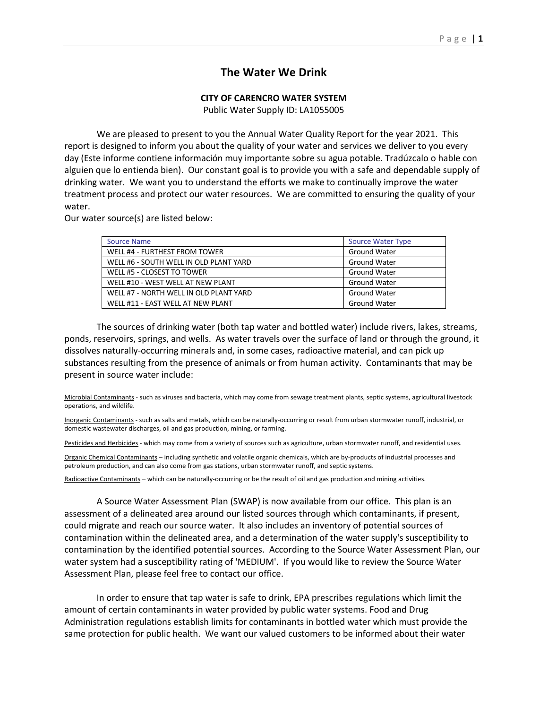## **The Water We Drink**

## **CITY OF CARENCRO WATER SYSTEM**

Public Water Supply ID: LA1055005

We are pleased to present to you the Annual Water Quality Report for the year 2021. This report is designed to inform you about the quality of your water and services we deliver to you every day (Este informe contiene información muy importante sobre su agua potable. Tradúzcalo o hable con alguien que lo entienda bien). Our constant goal is to provide you with a safe and dependable supply of drinking water. We want you to understand the efforts we make to continually improve the water treatment process and protect our water resources. We are committed to ensuring the quality of your water.

Our water source(s) are listed below:

| <b>Source Name</b>                     | <b>Source Water Type</b> |
|----------------------------------------|--------------------------|
| WELL #4 - FURTHEST FROM TOWER          | <b>Ground Water</b>      |
| WELL #6 - SOUTH WELL IN OLD PLANT YARD | <b>Ground Water</b>      |
| WELL #5 - CLOSEST TO TOWER             | <b>Ground Water</b>      |
| WELL #10 - WEST WELL AT NEW PLANT      | <b>Ground Water</b>      |
| WELL #7 - NORTH WELL IN OLD PLANT YARD | <b>Ground Water</b>      |
| WELL #11 - EAST WELL AT NEW PLANT      | <b>Ground Water</b>      |

The sources of drinking water (both tap water and bottled water) include rivers, lakes, streams, ponds, reservoirs, springs, and wells. As water travels over the surface of land or through the ground, it dissolves naturally-occurring minerals and, in some cases, radioactive material, and can pick up substances resulting from the presence of animals or from human activity. Contaminants that may be present in source water include:

Microbial Contaminants - such as viruses and bacteria, which may come from sewage treatment plants, septic systems, agricultural livestock operations, and wildlife.

Inorganic Contaminants - such as salts and metals, which can be naturally-occurring or result from urban stormwater runoff, industrial, or domestic wastewater discharges, oil and gas production, mining, or farming.

Pesticides and Herbicides - which may come from a variety of sources such as agriculture, urban stormwater runoff, and residential uses.

Organic Chemical Contaminants – including synthetic and volatile organic chemicals, which are by-products of industrial processes and petroleum production, and can also come from gas stations, urban stormwater runoff, and septic systems.

Radioactive Contaminants – which can be naturally-occurring or be the result of oil and gas production and mining activities.

A Source Water Assessment Plan (SWAP) is now available from our office. This plan is an assessment of a delineated area around our listed sources through which contaminants, if present, could migrate and reach our source water. It also includes an inventory of potential sources of contamination within the delineated area, and a determination of the water supply's susceptibility to contamination by the identified potential sources. According to the Source Water Assessment Plan, our water system had a susceptibility rating of 'MEDIUM'. If you would like to review the Source Water Assessment Plan, please feel free to contact our office.

In order to ensure that tap water is safe to drink, EPA prescribes regulations which limit the amount of certain contaminants in water provided by public water systems. Food and Drug Administration regulations establish limits for contaminants in bottled water which must provide the same protection for public health. We want our valued customers to be informed about their water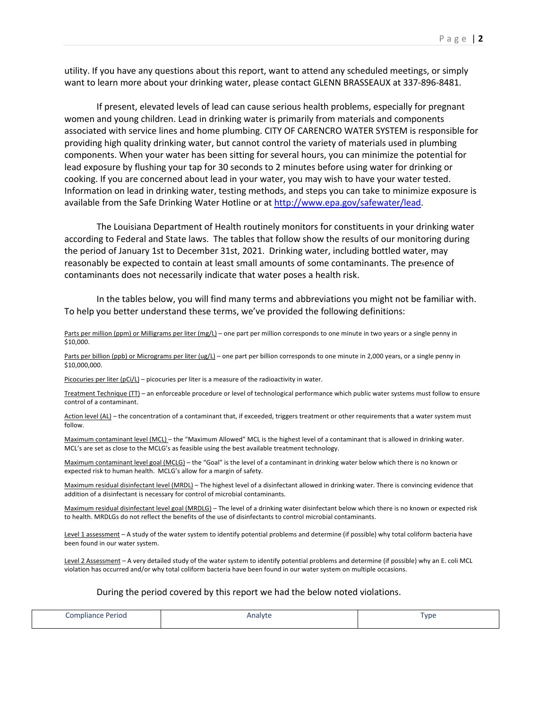utility. If you have any questions about this report, want to attend any scheduled meetings, or simply want to learn more about your drinking water, please contact GLENN BRASSEAUX at 337-896-8481.

If present, elevated levels of lead can cause serious health problems, especially for pregnant women and young children. Lead in drinking water is primarily from materials and components associated with service lines and home plumbing. CITY OF CARENCRO WATER SYSTEM is responsible for providing high quality drinking water, but cannot control the variety of materials used in plumbing components. When your water has been sitting for several hours, you can minimize the potential for lead exposure by flushing your tap for 30 seconds to 2 minutes before using water for drinking or cooking. If you are concerned about lead in your water, you may wish to have your water tested. Information on lead in drinking water, testing methods, and steps you can take to minimize exposure is available from the Safe Drinking Water Hotline or at http://www.epa.gov/safewater/lead.

The Louisiana Department of Health routinely monitors for constituents in your drinking water according to Federal and State laws. The tables that follow show the results of our monitoring during the period of January 1st to December 31st, 2021. Drinking water, including bottled water, may reasonably be expected to contain at least small amounts of some contaminants. The presence of contaminants does not necessarily indicate that water poses a health risk.

In the tables below, you will find many terms and abbreviations you might not be familiar with. To help you better understand these terms, we've provided the following definitions:

Parts per million (ppm) or Milligrams per liter (mg/L) – one part per million corresponds to one minute in two years or a single penny in \$10,000.

Parts per billion (ppb) or Micrograms per liter (ug/L) – one part per billion corresponds to one minute in 2,000 years, or a single penny in \$10,000,000.

Picocuries per liter (pCi/L) – picocuries per liter is a measure of the radioactivity in water.

Treatment Technique (TT) – an enforceable procedure or level of technological performance which public water systems must follow to ensure control of a contaminant.

Action level (AL) – the concentration of a contaminant that, if exceeded, triggers treatment or other requirements that a water system must follow.

Maximum contaminant level (MCL) – the "Maximum Allowed" MCL is the highest level of a contaminant that is allowed in drinking water. MCL's are set as close to the MCLG's as feasible using the best available treatment technology.

Maximum contaminant level goal (MCLG) – the "Goal" is the level of a contaminant in drinking water below which there is no known or expected risk to human health. MCLG's allow for a margin of safety.

Maximum residual disinfectant level (MRDL) – The highest level of a disinfectant allowed in drinking water. There is convincing evidence that addition of a disinfectant is necessary for control of microbial contaminants.

Maximum residual disinfectant level goal (MRDLG) – The level of a drinking water disinfectant below which there is no known or expected risk to health. MRDLGs do not reflect the benefits of the use of disinfectants to control microbial contaminants.

Level 1 assessment – A study of the water system to identify potential problems and determine (if possible) why total coliform bacteria have been found in our water system.

Level 2 Assessment - A very detailed study of the water system to identify potential problems and determine (if possible) why an E. coli MCL violation has occurred and/or why total coliform bacteria have been found in our water system on multiple occasions.

## During the period covered by this report we had the below noted violations.

| Compliance Period | Analyte | <b>vpe</b> |
|-------------------|---------|------------|
|                   |         |            |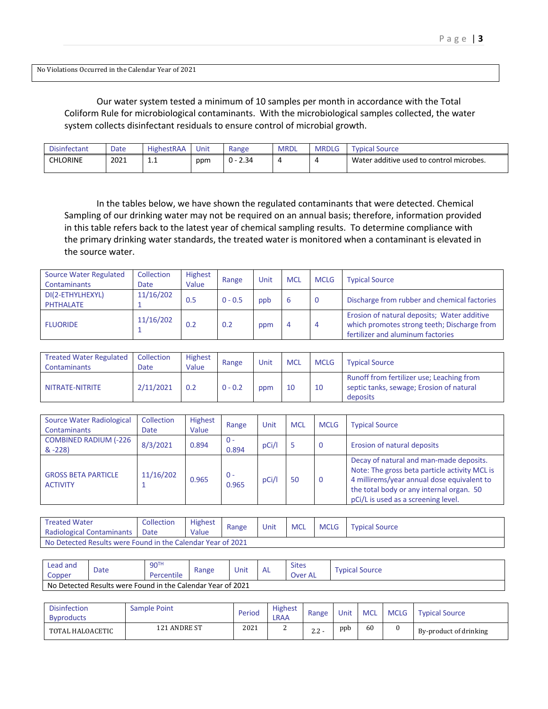No Violations Occurred in the Calendar Year of 2021

Our water system tested a minimum of 10 samples per month in accordance with the Total Coliform Rule for microbiological contaminants. With the microbiological samples collected, the water system collects disinfectant residuals to ensure control of microbial growth.

| <b>Disinfectant</b> | Date | <b>HighestRAA</b> | Unit | Range         | <b>MRDL</b> | <b>MRDLG</b> | Typical Source                           |
|---------------------|------|-------------------|------|---------------|-------------|--------------|------------------------------------------|
| CHLORINE            | 2021 | . .               | ppm  | 2.34<br>. በ - | $\epsilon$  |              | Water additive used to control microbes. |

In the tables below, we have shown the regulated contaminants that were detected. Chemical Sampling of our drinking water may not be required on an annual basis; therefore, information provided in this table refers back to the latest year of chemical sampling results. To determine compliance with the primary drinking water standards, the treated water is monitored when a contaminant is elevated in the source water.

| <b>Source Water Regulated</b> | Collection  | <b>Highest</b> | Range     | Unit | <b>MCL</b> | <b>MCLG</b> | <b>Typical Source</b>                                                                                                           |  |
|-------------------------------|-------------|----------------|-----------|------|------------|-------------|---------------------------------------------------------------------------------------------------------------------------------|--|
| Contaminants                  | <b>Date</b> | Value          |           |      |            |             |                                                                                                                                 |  |
| DI(2-ETHYLHEXYL)              | 11/16/202   | 0.5            | $0 - 0.5$ | ppb  | b          | - 0         | Discharge from rubber and chemical factories                                                                                    |  |
| <b>PHTHALATE</b>              |             |                |           |      |            |             |                                                                                                                                 |  |
| <b>FLUORIDE</b>               | 11/16/202   | 0.2            | 0.2       | ppm  | 4          | 4           | Erosion of natural deposits; Water additive<br>which promotes strong teeth; Discharge from<br>fertilizer and aluminum factories |  |

| <b>Treated Water Regulated</b><br>Contaminants | Collection<br>Date | <b>Highest</b><br>Value | Range     | Unit | <b>MCL</b> | <b>MCLG</b> | <b>Typical Source</b>                                                                             |
|------------------------------------------------|--------------------|-------------------------|-----------|------|------------|-------------|---------------------------------------------------------------------------------------------------|
| NITRATE-NITRITE                                | 2/11/2021          | 0.2                     | $0 - 0.2$ | ppm  | 10         | 10          | Runoff from fertilizer use; Leaching from<br>septic tanks, sewage; Erosion of natural<br>deposits |

| Source Water Radiological<br><b>Contaminants</b> | Collection<br>Date | <b>Highest</b><br>Value | Range          | Unit  | <b>MCL</b> | <b>MCLG</b> | <b>Typical Source</b>                                                                                                                                                                                                     |
|--------------------------------------------------|--------------------|-------------------------|----------------|-------|------------|-------------|---------------------------------------------------------------------------------------------------------------------------------------------------------------------------------------------------------------------------|
| <b>COMBINED RADIUM (-226</b><br>$& -228$         | 8/3/2021           | 0.894                   | $0 -$<br>0.894 | pCi/l |            | 0           | Erosion of natural deposits                                                                                                                                                                                               |
| <b>GROSS BETA PARTICLE</b><br><b>ACTIVITY</b>    | 11/16/202          | 0.965                   | $0 -$<br>0.965 | pCi/l | 50         | 0           | Decay of natural and man-made deposits.<br>Note: The gross beta particle activity MCL is<br>4 millirems/year annual dose equivalent to<br>the total body or any internal organ. 50<br>pCi/L is used as a screening level. |

| Treated Water                                               | Collection | <b>Highest</b> | Range | Unit | <b>MCL</b><br><b>MCLG</b> |  | <b>Typical Source</b> |  |
|-------------------------------------------------------------|------------|----------------|-------|------|---------------------------|--|-----------------------|--|
| Radiological Contaminants                                   | Date       | Value          |       |      |                           |  |                       |  |
| No Detected Results were Found in the Calendar Year of 2021 |            |                |       |      |                           |  |                       |  |

| Lead and<br>Copper | Date                                                        | 90 <sup>T</sup><br>Percentile | Range | Unit | AL | <b>Sites</b><br>Over AL | Typical Source |  |  |
|--------------------|-------------------------------------------------------------|-------------------------------|-------|------|----|-------------------------|----------------|--|--|
|                    | No Detected Results were Found in the Calendar Year of 2021 |                               |       |      |    |                         |                |  |  |

| <b>Disinfection</b><br><b>Byproducts</b> | Sample Point | Period | <b>Highest</b><br>LRAA | Range               | Unit | <b>MCL</b> | <b>MCLG</b> | <b>Typical Source</b>  |
|------------------------------------------|--------------|--------|------------------------|---------------------|------|------------|-------------|------------------------|
| TOTAL HALOACETIC                         | 121 ANDRE ST | 2021   | <u>.</u>               | $\Omega$<br>$6.6 -$ | ppb  | 60         |             | By-product of drinking |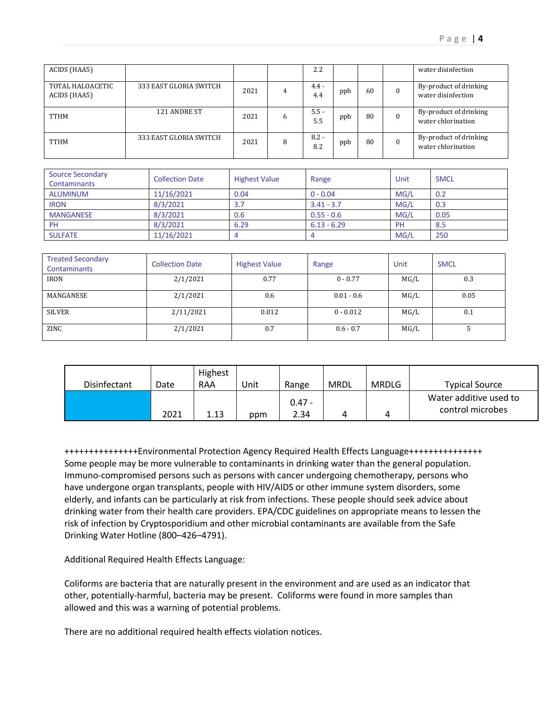| ACIDS (HAA5)                     |                        |      |   | 2.2            |     |    | water disinfection                           |
|----------------------------------|------------------------|------|---|----------------|-----|----|----------------------------------------------|
| TOTAL HALOACETIC<br>ACIDS (HAA5) | 333 EAST GLORIA SWITCH | 2021 | 4 | $4.4 -$<br>4.4 | ppb | 60 | By-product of drinking<br>water disinfection |
| TTHM                             | 121 ANDRE ST           | 2021 | 6 | $5.5 -$<br>5.5 | ppb | 80 | By-product of drinking<br>water chlorination |
| TTHM                             | 333 EAST GLORIA SWITCH | 2021 | 8 | $8.2 -$<br>8.2 | ppb | 80 | By-product of drinking<br>water chlorination |

| <b>Source Secondary</b><br><b>Contaminants</b> | <b>Collection Date</b> | <b>Highest Value</b> | Range         | Unit      | <b>SMCL</b> |
|------------------------------------------------|------------------------|----------------------|---------------|-----------|-------------|
| ALUMINUM                                       | 11/16/2021             | 0.04                 | $0 - 0.04$    | MG/L      | 0.2         |
| <b>IRON</b>                                    | 8/3/2021               | 3.7                  | $3.41 - 3.7$  | MG/L      | 0.3         |
| <b>MANGANESE</b>                               | 8/3/2021               | 0.6                  | $0.55 - 0.6$  | MG/L      | 0.05        |
| PH                                             | 8/3/2021               | 6.29                 | $6.13 - 6.29$ | <b>PH</b> | 8.5         |
| <b>SULFATE</b>                                 | 11/16/2021             |                      |               | MG/L      | 250         |

| <b>Treated Secondary</b><br>Contaminants | <b>Collection Date</b> | <b>Highest Value</b> | Range        | Unit | <b>SMCL</b> |
|------------------------------------------|------------------------|----------------------|--------------|------|-------------|
| <b>IRON</b>                              | 2/1/2021               | 0.77                 | $0 - 0.77$   | MG/L | 0.3         |
| MANGANESE                                | 2/1/2021               | 0.6                  | $0.01 - 0.6$ | MG/L | 0.05        |
| SILVER                                   | 2/11/2021              | 0.012                | $0 - 0.012$  | MG/L | 0.1         |
| ZINC                                     | 2/1/2021               | 0.7                  | $0.6 - 0.7$  | MG/L |             |

|              |      | Highest |      |                  |      |              |                                            |
|--------------|------|---------|------|------------------|------|--------------|--------------------------------------------|
| Disinfectant | Date | RAA     | Unit | Range            | MRDL | <b>MRDLG</b> | <b>Typical Source</b>                      |
|              | 2021 | 1.13    | ppm  | $0.47 -$<br>2.34 | Λ    |              | Water additive used to<br>control microbes |

+++++++++++++++Environmental Protection Agency Required Health Effects Language+++++++++++++++ Some people may be more vulnerable to contaminants in drinking water than the general population. Immuno-compromised persons such as persons with cancer undergoing chemotherapy, persons who have undergone organ transplants, people with HIV/AIDS or other immune system disorders, some elderly, and infants can be particularly at risk from infections. These people should seek advice about drinking water from their health care providers. EPA/CDC guidelines on appropriate means to lessen the risk of infection by Cryptosporidium and other microbial contaminants are available from the Safe Drinking Water Hotline (800–426–4791).

Additional Required Health Effects Language:

Coliforms are bacteria that are naturally present in the environment and are used as an indicator that other, potentially-harmful, bacteria may be present. Coliforms were found in more samples than allowed and this was a warning of potential problems.

There are no additional required health effects violation notices.